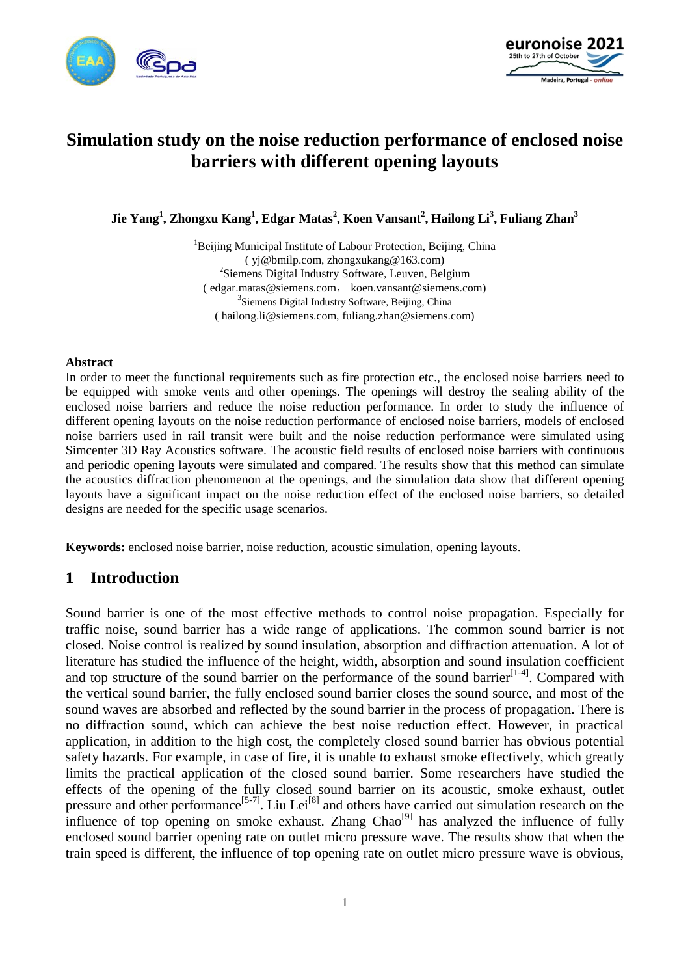



# **Simulation study on the noise reduction performance of enclosed noise barriers with different opening layouts**

**Jie Yang<sup>1</sup> , Zhongxu Kang1 , Edgar Matas<sup>2</sup> , Koen Vansant<sup>2</sup> , Hailong Li<sup>3</sup> , Fuliang Zhan3**

<sup>1</sup>Beijing Municipal Institute of Labour Protection, Beijing, China ( yj@bmilp.com, zhongxukang@163.com) <sup>2</sup>Siemens Digital Industry Software, Leuven, Belgium ( [edgar.matas@siemens.com](mailto:(%20edgar.matas@siemens.com), koen.vansant@siemens.com) <sup>3</sup>Siemens Digital Industry Software, Beijing, China ( hailong.li@siemens.com, fuliang.zhan@siemens.com)

#### **Abstract**

In order to meet the functional requirements such as fire protection etc., the enclosed noise barriers need to be equipped with smoke vents and other openings. The openings will destroy the sealing ability of the enclosed noise barriers and reduce the noise reduction performance. In order to study the influence of different opening layouts on the noise reduction performance of enclosed noise barriers, models of enclosed noise barriers used in rail transit were built and the noise reduction performance were simulated using Simcenter 3D Ray Acoustics software. The acoustic field results of enclosed noise barriers with continuous and periodic opening layouts were simulated and compared. The results show that this method can simulate the acoustics diffraction phenomenon at the openings, and the simulation data show that different opening layouts have a significant impact on the noise reduction effect of the enclosed noise barriers, so detailed designs are needed for the specific usage scenarios.

**Keywords:** enclosed noise barrier, noise reduction, acoustic simulation, opening layouts.

## **1 Introduction**

Sound barrier is one of the most effective methods to control noise propagation. Especially for traffic noise, sound barrier has a wide range of applications. The common sound barrier is not closed. Noise control is realized by sound insulation, absorption and diffraction attenuation. A lot of literature has studied the influence of the height, width, absorption and sound insulation coefficient and top structure of the sound barrier on the performance of the sound barrier<sup>[1-4]</sup>. Compared with the vertical sound barrier, the fully enclosed sound barrier closes the sound source, and most of the sound waves are absorbed and reflected by the sound barrier in the process of propagation. There is no diffraction sound, which can achieve the best noise reduction effect. However, in practical application, in addition to the high cost, the completely closed sound barrier has obvious potential safety hazards. For example, in case of fire, it is unable to exhaust smoke effectively, which greatly limits the practical application of the closed sound barrier. Some researchers have studied the effects of the opening of the fully closed sound barrier on its acoustic, smoke exhaust, outlet pressure and other performance<sup>[5-7]</sup>. Liu Lei<sup>[8]</sup> and others have carried out simulation research on the influence of top opening on smoke exhaust. Zhang  $Chao^{[9]}$  has analyzed the influence of fully enclosed sound barrier opening rate on outlet micro pressure wave. The results show that when the train speed is different, the influence of top opening rate on outlet micro pressure wave is obvious,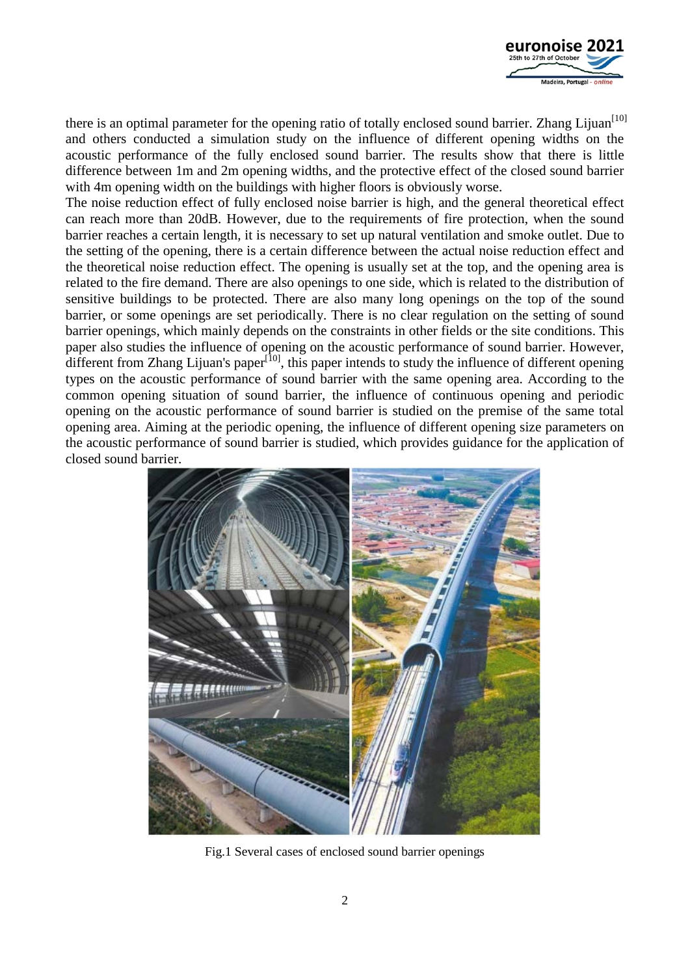

there is an optimal parameter for the opening ratio of totally enclosed sound barrier. Zhang Lijuan<sup>[10]</sup> and others conducted a simulation study on the influence of different opening widths on the acoustic performance of the fully enclosed sound barrier. The results show that there is little difference between 1m and 2m opening widths, and the protective effect of the closed sound barrier with 4m opening width on the buildings with higher floors is obviously worse.

The noise reduction effect of fully enclosed noise barrier is high, and the general theoretical effect can reach more than 20dB. However, due to the requirements of fire protection, when the sound barrier reaches a certain length, it is necessary to set up natural ventilation and smoke outlet. Due to the setting of the opening, there is a certain difference between the actual noise reduction effect and the theoretical noise reduction effect. The opening is usually set at the top, and the opening area is related to the fire demand. There are also openings to one side, which is related to the distribution of sensitive buildings to be protected. There are also many long openings on the top of the sound barrier, or some openings are set periodically. There is no clear regulation on the setting of sound barrier openings, which mainly depends on the constraints in other fields or the site conditions. This paper also studies the influence of opening on the acoustic performance of sound barrier. However, different from Zhang Lijuan's paper $[10]$ , this paper intends to study the influence of different opening types on the acoustic performance of sound barrier with the same opening area. According to the common opening situation of sound barrier, the influence of continuous opening and periodic opening on the acoustic performance of sound barrier is studied on the premise of the same total opening area. Aiming at the periodic opening, the influence of different opening size parameters on the acoustic performance of sound barrier is studied, which provides guidance for the application of closed sound barrier.



Fig.1 Several cases of enclosed sound barrier openings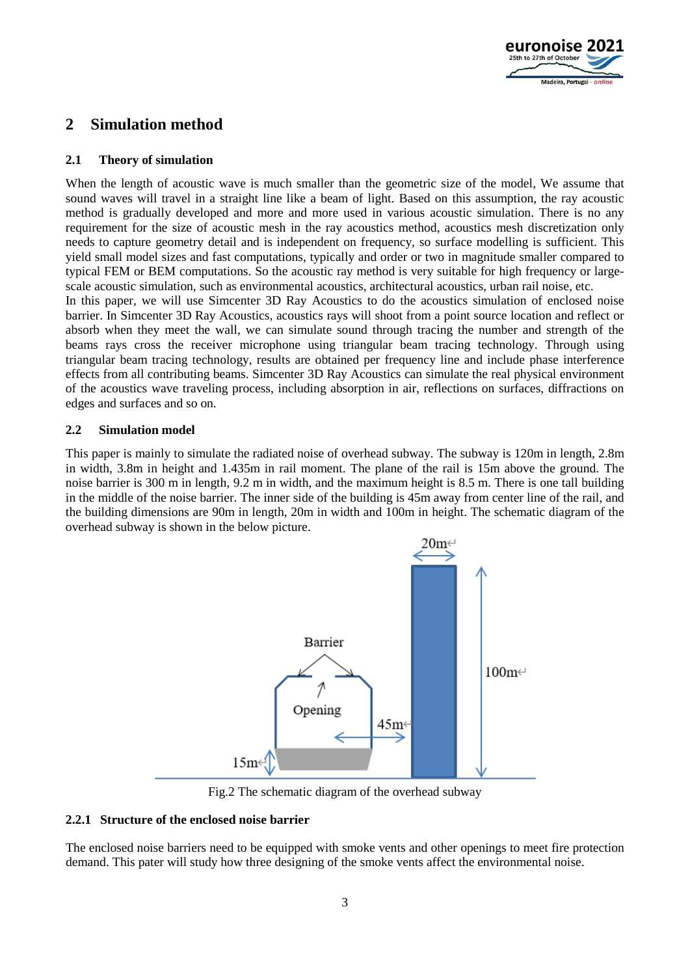

## **2 Simulation method**

### **2.1 Theory of simulation**

When the length of acoustic wave is much smaller than the geometric size of the model, We assume that sound waves will travel in a straight line like a beam of light. Based on this assumption, the ray acoustic method is gradually developed and more and more used in various acoustic simulation. There is no any requirement for the size of acoustic mesh in the ray acoustics method, acoustics mesh discretization only needs to capture geometry detail and is independent on frequency, so surface modelling is sufficient. This yield small model sizes and fast computations, typically and order or two in magnitude smaller compared to typical FEM or BEM computations. So the acoustic ray method is very suitable for high frequency or largescale acoustic simulation, such as environmental acoustics, architectural acoustics, urban rail noise, etc.

In this paper, we will use Simcenter 3D Ray Acoustics to do the acoustics simulation of enclosed noise barrier. In Simcenter 3D Ray Acoustics, acoustics rays will shoot from a point source location and reflect or absorb when they meet the wall, we can simulate sound through tracing the number and strength of the beams rays cross the receiver microphone using triangular beam tracing technology. Through using triangular beam tracing technology, results are obtained per frequency line and include phase interference effects from all contributing beams. Simcenter 3D Ray Acoustics can simulate the real physical environment of the acoustics wave traveling process, including absorption in air, reflections on surfaces, diffractions on edges and surfaces and so on.

### **2.2 Simulation model**

This paper is mainly to simulate the radiated noise of overhead subway. The subway is 120m in length, 2.8m in width, 3.8m in height and 1.435m in rail moment. The plane of the rail is 15m above the ground. The noise barrier is 300 m in length, 9.2 m in width, and the maximum height is 8.5 m. There is one tall building in the middle of the noise barrier. The inner side of the building is 45m away from center line of the rail, and the building dimensions are 90m in length, 20m in width and 100m in height. The schematic diagram of the overhead subway is shown in the below picture.



Fig.2 The schematic diagram of the overhead subway

#### **2.2.1 Structure of the enclosed noise barrier**

The enclosed noise barriers need to be equipped with smoke vents and other openings to meet fire protection demand. This pater will study how three designing of the smoke vents affect the environmental noise.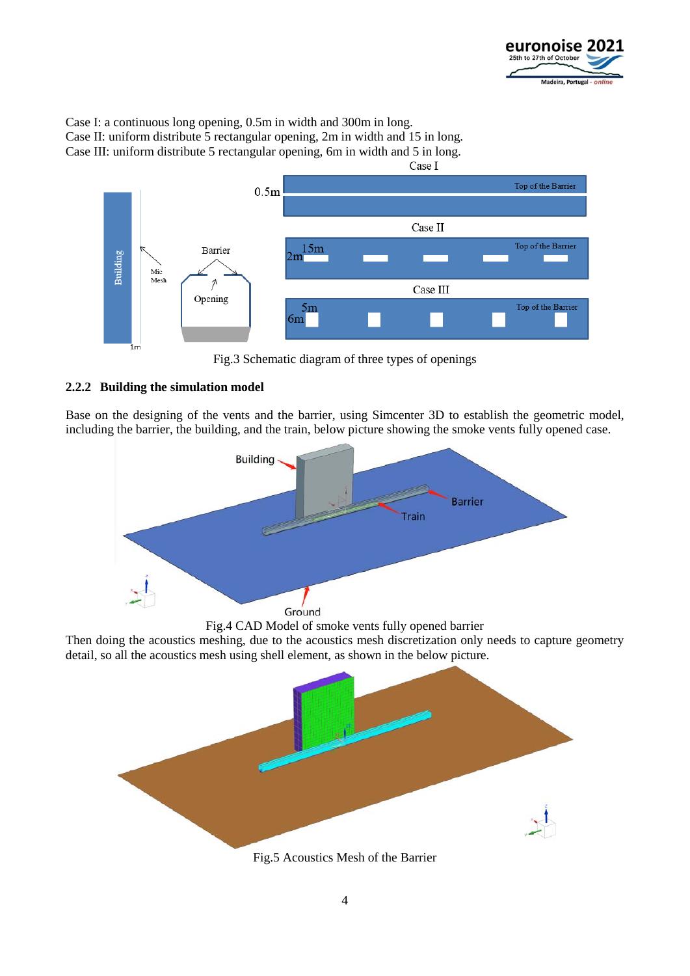

Case I: a continuous long opening, 0.5m in width and 300m in long.

Case II: uniform distribute 5 rectangular opening, 2m in width and 15 in long. Case III: uniform distribute 5 rectangular opening, 6m in width and 5 in long.



Fig.3 Schematic diagram of three types of openings

### **2.2.2 Building the simulation model**

Base on the designing of the vents and the barrier, using Simcenter 3D to establish the geometric model, including the barrier, the building, and the train, below picture showing the smoke vents fully opened case.



Fig.4 CAD Model of smoke vents fully opened barrier

Then doing the acoustics meshing, due to the acoustics mesh discretization only needs to capture geometry detail, so all the acoustics mesh using shell element, as shown in the below picture.



Fig.5 Acoustics Mesh of the Barrier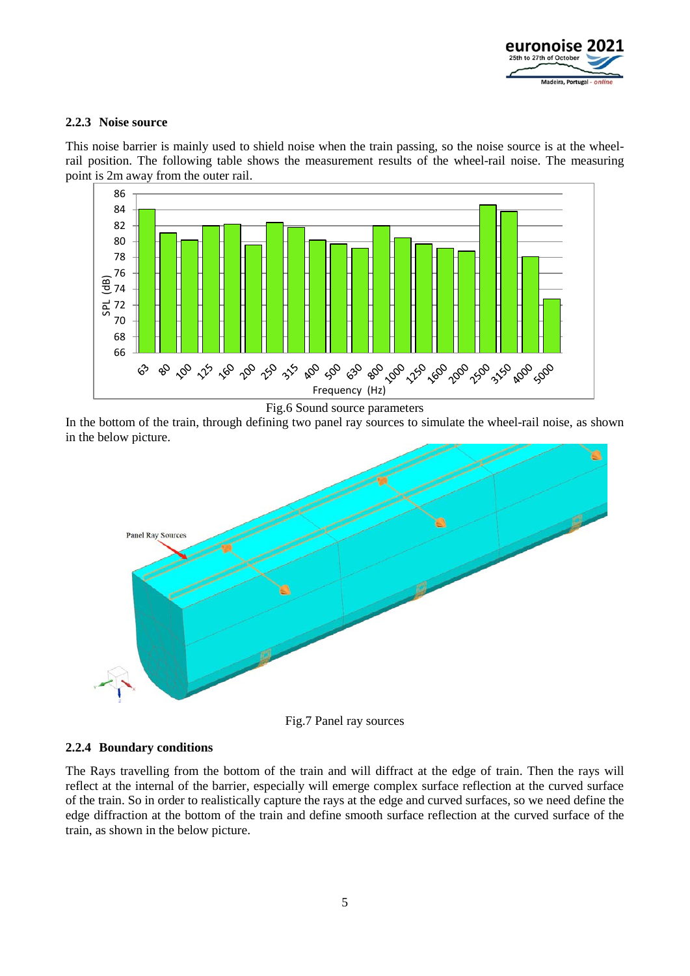

#### **2.2.3 Noise source**

This noise barrier is mainly used to shield noise when the train passing, so the noise source is at the wheelrail position. The following table shows the measurement results of the wheel-rail noise. The measuring point is 2m away from the outer rail.



Fig.6 Sound source parameters

In the bottom of the train, through defining two panel ray sources to simulate the wheel-rail noise, as shown in the below picture.



Fig.7 Panel ray sources

### **2.2.4 Boundary conditions**

The Rays travelling from the bottom of the train and will diffract at the edge of train. Then the rays will reflect at the internal of the barrier, especially will emerge complex surface reflection at the curved surface of the train. So in order to realistically capture the rays at the edge and curved surfaces, so we need define the edge diffraction at the bottom of the train and define smooth surface reflection at the curved surface of the train, as shown in the below picture.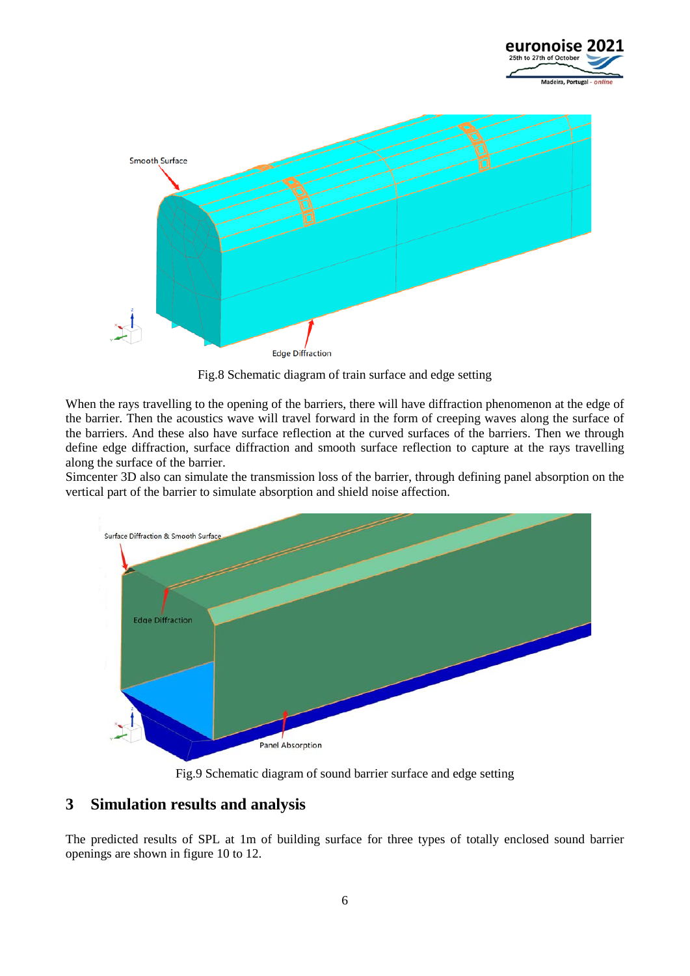



Fig.8 Schematic diagram of train surface and edge setting

When the rays travelling to the opening of the barriers, there will have diffraction phenomenon at the edge of the barrier. Then the acoustics wave will travel forward in the form of creeping waves along the surface of the barriers. And these also have surface reflection at the curved surfaces of the barriers. Then we through define edge diffraction, surface diffraction and smooth surface reflection to capture at the rays travelling along the surface of the barrier.

Simcenter 3D also can simulate the transmission loss of the barrier, through defining panel absorption on the vertical part of the barrier to simulate absorption and shield noise affection.



Fig.9 Schematic diagram of sound barrier surface and edge setting

## **3 Simulation results and analysis**

The predicted results of SPL at 1m of building surface for three types of totally enclosed sound barrier openings are shown in figure 10 to 12.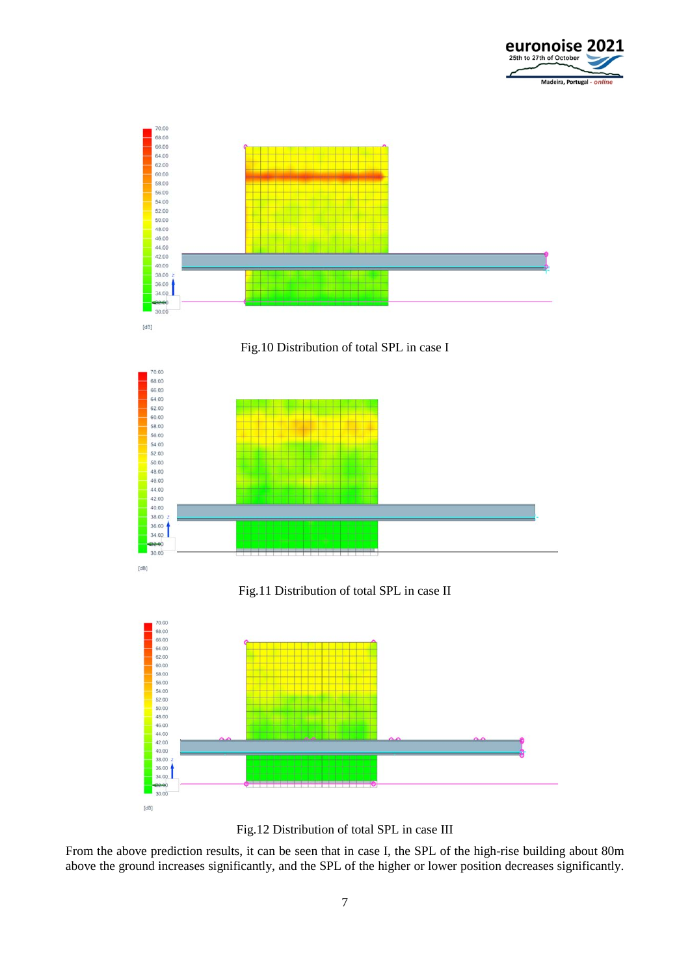







Fig.11 Distribution of total SPL in case II



Fig.12 Distribution of total SPL in case III

From the above prediction results, it can be seen that in case I, the SPL of the high-rise building about 80m above the ground increases significantly, and the SPL of the higher or lower position decreases significantly.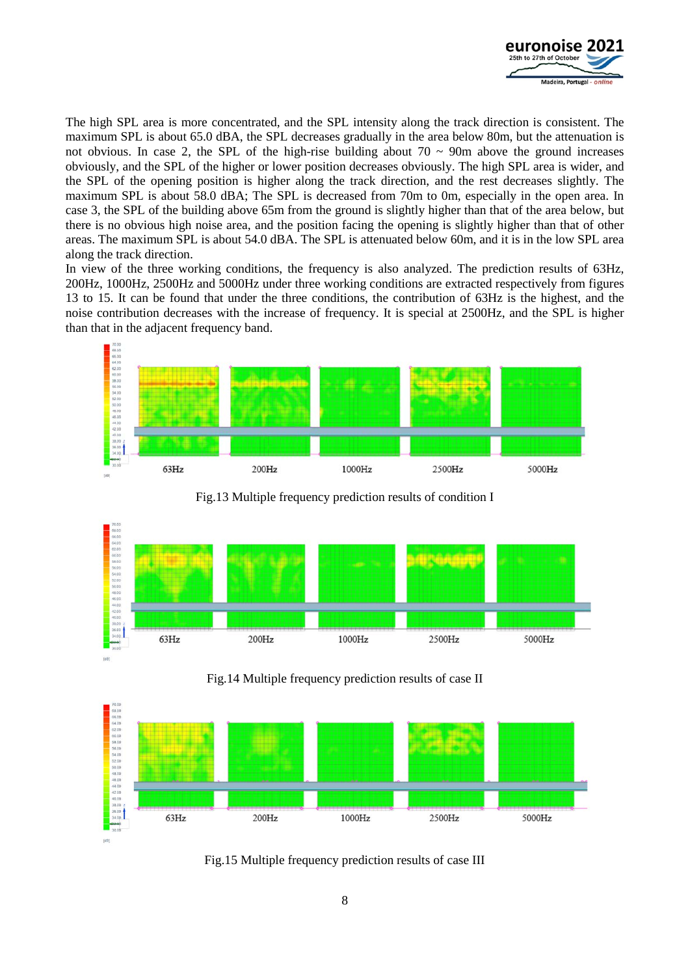

The high SPL area is more concentrated, and the SPL intensity along the track direction is consistent. The maximum SPL is about 65.0 dBA, the SPL decreases gradually in the area below 80m, but the attenuation is not obvious. In case 2, the SPL of the high-rise building about  $70 \sim 90$ m above the ground increases obviously, and the SPL of the higher or lower position decreases obviously. The high SPL area is wider, and the SPL of the opening position is higher along the track direction, and the rest decreases slightly. The maximum SPL is about 58.0 dBA; The SPL is decreased from 70m to 0m, especially in the open area. In case 3, the SPL of the building above 65m from the ground is slightly higher than that of the area below, but there is no obvious high noise area, and the position facing the opening is slightly higher than that of other areas. The maximum SPL is about 54.0 dBA. The SPL is attenuated below 60m, and it is in the low SPL area along the track direction.

In view of the three working conditions, the frequency is also analyzed. The prediction results of 63Hz, 200Hz, 1000Hz, 2500Hz and 5000Hz under three working conditions are extracted respectively from figures 13 to 15. It can be found that under the three conditions, the contribution of 63Hz is the highest, and the noise contribution decreases with the increase of frequency. It is special at 2500Hz, and the SPL is higher than that in the adjacent frequency band.



Fig.13 Multiple frequency prediction results of condition I



Fig.14 Multiple frequency prediction results of case II



Fig.15 Multiple frequency prediction results of case III